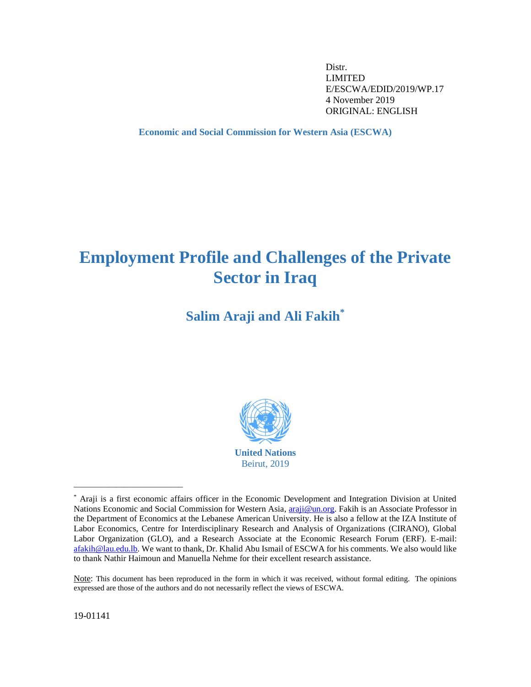Distr. LIMITED E/ESCWA/EDID/2019/WP.17 4 November 2019 ORIGINAL: ENGLISH

<span id="page-0-0"></span>**Economic and Social Commission for Western Asia (ESCWA)**

# **Employment Profile and Challenges of the Private Sector in Iraq**

**Salim Araji and Ali Fakih\***



<sup>\*</sup> Araji is a first economic affairs officer in the Economic Development and Integration Division at United Nations Economic and Social Commission for Western Asia, [araji@un.org.](mailto:araji@un.org) Fakih is an Associate Professor in the Department of Economics at the Lebanese American University. He is also a fellow at the IZA Institute of Labor Economics, Centre for Interdisciplinary Research and Analysis of Organizations (CIRANO), Global Labor Organization (GLO), and a Research Associate at the Economic Research Forum (ERF). E-mail: [afakih@lau.edu.lb.](mailto:afakih@lau.edu.lb) We want to thank, Dr. Khalid Abu Ismail of ESCWA for his comments. We also would like to thank Nathir Haimoun and Manuella Nehme for their excellent research assistance.

Note: This document has been reproduced in the form in which it was received, without formal editing. The opinions expressed are those of the authors and do not necessarily reflect the views of ESCWA.

19-01141

\_\_\_\_\_\_\_\_\_\_\_\_\_\_\_\_\_\_\_\_\_\_\_\_\_\_\_\_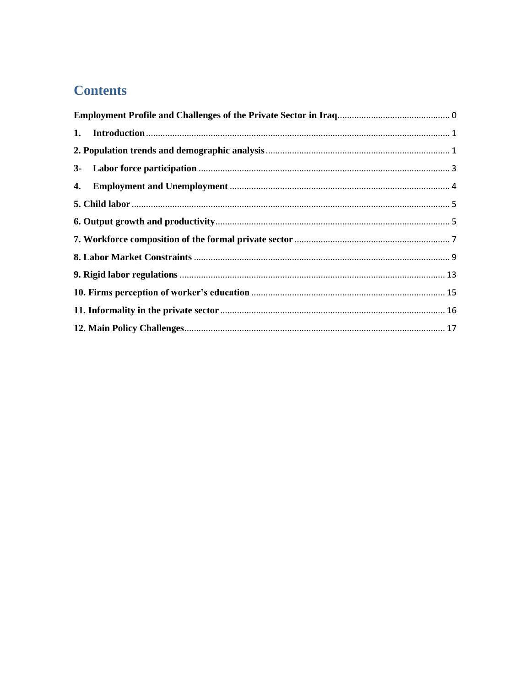## **Contents**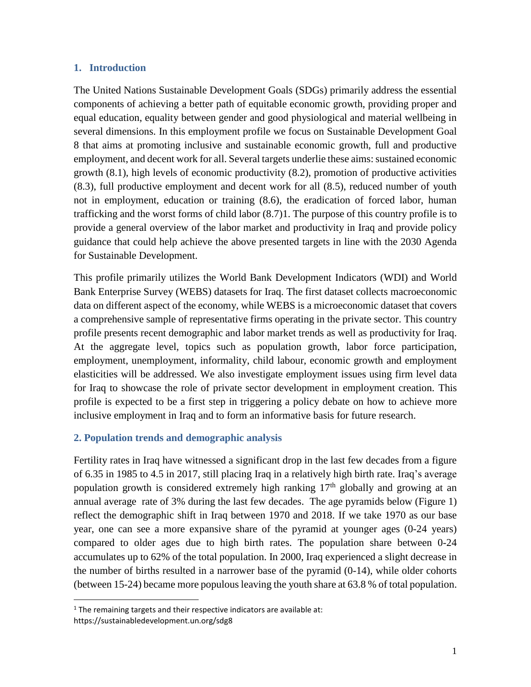### <span id="page-2-0"></span>**1. Introduction**

The United Nations Sustainable Development Goals (SDGs) primarily address the essential components of achieving a better path of equitable economic growth, providing proper and equal education, equality between gender and good physiological and material wellbeing in several dimensions. In this employment profile we focus on Sustainable Development Goal 8 that aims at promoting inclusive and sustainable economic growth, full and productive employment, and decent work for all. Several targets underlie these aims: sustained economic growth (8.1), high levels of economic productivity (8.2), promotion of productive activities (8.3), full productive employment and decent work for all (8.5), reduced number of youth not in employment, education or training (8.6), the eradication of forced labor, human trafficking and the worst forms of child labor (8.7)1. The purpose of this country profile is to provide a general overview of the labor market and productivity in Iraq and provide policy guidance that could help achieve the above presented targets in line with the 2030 Agenda for Sustainable Development.

This profile primarily utilizes the World Bank Development Indicators (WDI) and World Bank Enterprise Survey (WEBS) datasets for Iraq. The first dataset collects macroeconomic data on different aspect of the economy, while WEBS is a microeconomic dataset that covers a comprehensive sample of representative firms operating in the private sector. This country profile presents recent demographic and labor market trends as well as productivity for Iraq. At the aggregate level, topics such as population growth, labor force participation, employment, unemployment, informality, child labour, economic growth and employment elasticities will be addressed. We also investigate employment issues using firm level data for Iraq to showcase the role of private sector development in employment creation. This profile is expected to be a first step in triggering a policy debate on how to achieve more inclusive employment in Iraq and to form an informative basis for future research.

## <span id="page-2-1"></span>**2. Population trends and demographic analysis**

Fertility rates in Iraq have witnessed a significant drop in the last few decades from a figure of 6.35 in 1985 to 4.5 in 2017, still placing Iraq in a relatively high birth rate. Iraq's average population growth is considered extremely high ranking  $17<sup>th</sup>$  globally and growing at an annual average rate of 3% during the last few decades. The age pyramids below (Figure 1) reflect the demographic shift in Iraq between 1970 and 2018. If we take 1970 as our base year, one can see a more expansive share of the pyramid at younger ages (0-24 years) compared to older ages due to high birth rates. The population share between 0-24 accumulates up to 62% of the total population. In 2000, Iraq experienced a slight decrease in the number of births resulted in a narrower base of the pyramid (0-14), while older cohorts (between 15-24) became more populous leaving the youth share at 63.8 % of total population.

 $\overline{a}$ 

 $1$  The remaining targets and their respective indicators are available at:

https://sustainabledevelopment.un.org/sdg8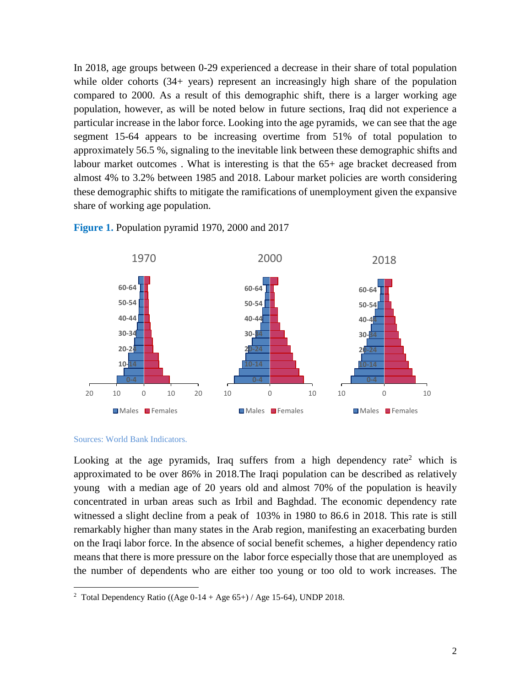In 2018, age groups between 0-29 experienced a decrease in their share of total population while older cohorts (34+ years) represent an increasingly high share of the population compared to 2000. As a result of this demographic shift, there is a larger working age population, however, as will be noted below in future sections, Iraq did not experience a particular increase in the labor force. Looking into the age pyramids, we can see that the age segment 15-64 appears to be increasing overtime from 51% of total population to approximately 56.5 %, signaling to the inevitable link between these demographic shifts and labour market outcomes . What is interesting is that the 65+ age bracket decreased from almost 4% to 3.2% between 1985 and 2018. Labour market policies are worth considering these demographic shifts to mitigate the ramifications of unemployment given the expansive share of working age population.





Sources: World Bank Indicators.

 $\overline{a}$ 

Looking at the age pyramids, Iraq suffers from a high dependency rate<sup>2</sup> which is approximated to be over 86% in 2018.The Iraqi population can be described as relatively young with a median age of 20 years old and almost 70% of the population is heavily concentrated in urban areas such as Irbil and Baghdad. The economic dependency rate witnessed a slight decline from a peak of 103% in 1980 to 86.6 in 2018. This rate is still remarkably higher than many states in the Arab region, manifesting an exacerbating burden on the Iraqi labor force. In the absence of social benefit schemes, a higher dependency ratio means that there is more pressure on the labor force especially those that are unemployed as the number of dependents who are either too young or too old to work increases. The

<sup>&</sup>lt;sup>2</sup> Total Dependency Ratio ((Age  $0-14 + Age 65+)$  / Age 15-64), UNDP 2018.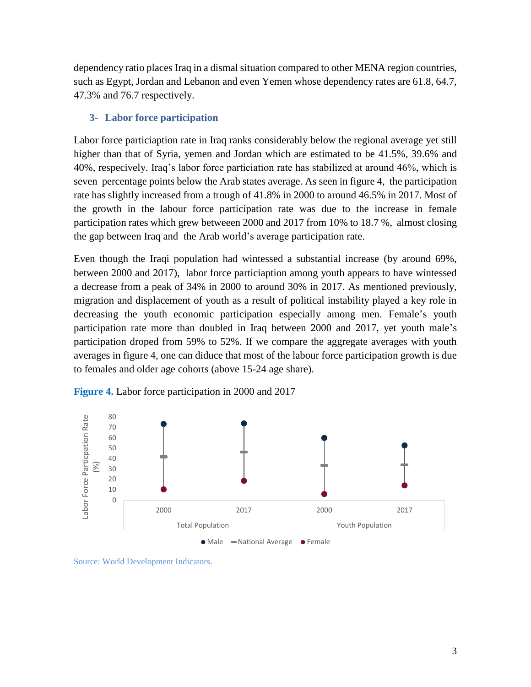dependency ratio places Iraq in a dismal situation compared to other MENA region countries, such as Egypt, Jordan and Lebanon and even Yemen whose dependency rates are 61.8, 64.7, 47.3% and 76.7 respectively.

## <span id="page-4-0"></span>**3- Labor force participation**

Labor force particiaption rate in Iraq ranks considerably below the regional average yet still higher than that of Syria, yemen and Jordan which are estimated to be 41.5%, 39.6% and 40%, respecively. Iraq's labor force particiation rate has stabilized at around 46%, which is seven percentage points below the Arab states average. As seen in figure 4, the participation rate has slightly increased from a trough of 41.8% in 2000 to around 46.5% in 2017. Most of the growth in the labour force participation rate was due to the increase in female participation rates which grew betweeen 2000 and 2017 from 10% to 18.7 %, almost closing the gap between Iraq and the Arab world's average participation rate.

Even though the Iraqi population had wintessed a substantial increase (by around 69%, between 2000 and 2017), labor force particiaption among youth appears to have wintessed a decrease from a peak of 34% in 2000 to around 30% in 2017. As mentioned previously, migration and displacement of youth as a result of political instability played a key role in decreasing the youth economic participation especially among men. Female's youth participation rate more than doubled in Iraq between 2000 and 2017, yet youth male's participation droped from 59% to 52%. If we compare the aggregate averages with youth averages in figure 4, one can diduce that most of the labour force participation growth is due to females and older age cohorts (above 15-24 age share).



**Figure 4.** Labor force participation in 2000 and 2017

Source: World Development Indicators.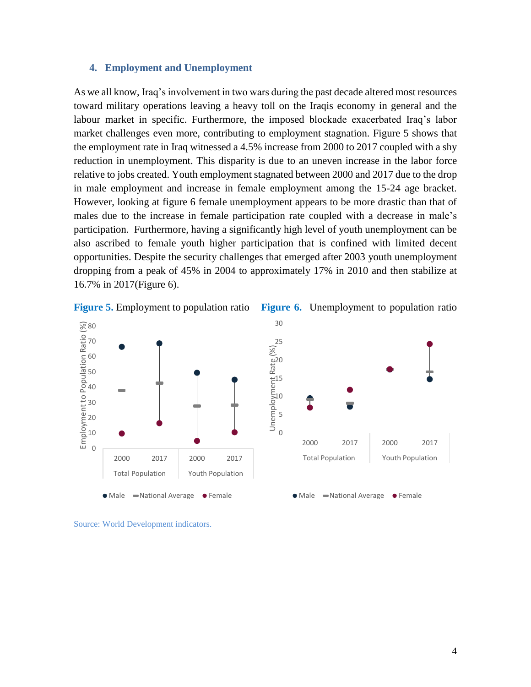#### <span id="page-5-0"></span>**4. Employment and Unemployment**

As we all know, Iraq's involvement in two wars during the past decade altered most resources toward military operations leaving a heavy toll on the Iraqis economy in general and the labour market in specific. Furthermore, the imposed blockade exacerbated Iraq's labor market challenges even more, contributing to employment stagnation. Figure 5 shows that the employment rate in Iraq witnessed a 4.5% increase from 2000 to 2017 coupled with a shy reduction in unemployment. This disparity is due to an uneven increase in the labor force relative to jobs created. Youth employment stagnated between 2000 and 2017 due to the drop in male employment and increase in female employment among the 15-24 age bracket. However, looking at figure 6 female unemployment appears to be more drastic than that of males due to the increase in female participation rate coupled with a decrease in male's participation. Furthermore, having a significantly high level of youth unemployment can be also ascribed to female youth higher participation that is confined with limited decent opportunities. Despite the security challenges that emerged after 2003 youth unemployment dropping from a peak of 45% in 2004 to approximately 17% in 2010 and then stabilize at 16.7% in 2017(Figure 6).



**Figure 5.** Employment to population ratio **Figure 6.** Unemployment to population ratio



Source: World Development indicators.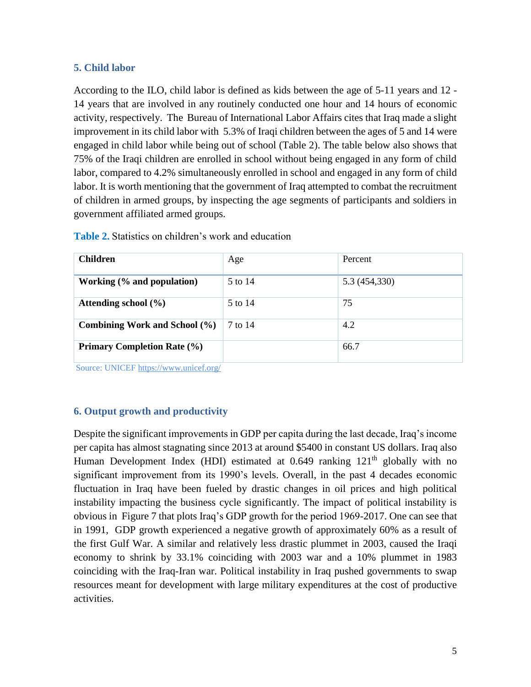## <span id="page-6-0"></span>**5. Child labor**

According to the ILO, child labor is defined as kids between the age of 5-11 years and 12 - 14 years that are involved in any routinely conducted one hour and 14 hours of economic activity, respectively. The Bureau of International Labor Affairs cites that Iraq made a slight improvement in its child labor with 5.3% of Iraqi children between the ages of 5 and 14 were engaged in child labor while being out of school (Table 2). The table below also shows that 75% of the Iraqi children are enrolled in school without being engaged in any form of child labor, compared to 4.2% simultaneously enrolled in school and engaged in any form of child labor. It is worth mentioning that the government of Iraq attempted to combat the recruitment of children in armed groups, by inspecting the age segments of participants and soldiers in government affiliated armed groups.

| <b>Children</b>                    | Age     | Percent       |
|------------------------------------|---------|---------------|
| Working (% and population)         | 5 to 14 | 5.3 (454,330) |
| Attending school $(\% )$           | 5 to 14 | 75            |
| Combining Work and School (%)      | 7 to 14 | 4.2           |
| <b>Primary Completion Rate (%)</b> |         | 66.7          |

**Table 2.** Statistics on children's work and education

Source: UNICEF<https://www.unicef.org/>

## <span id="page-6-1"></span>**6. Output growth and productivity**

Despite the significant improvements in GDP per capita during the last decade, Iraq's income per capita has almost stagnating since 2013 at around \$5400 in constant US dollars. Iraq also Human Development Index (HDI) estimated at  $0.649$  ranking  $121<sup>th</sup>$  globally with no significant improvement from its 1990's levels. Overall, in the past 4 decades economic fluctuation in Iraq have been fueled by drastic changes in oil prices and high political instability impacting the business cycle significantly. The impact of political instability is obvious in Figure 7 that plots Iraq's GDP growth for the period 1969-2017. One can see that in 1991, GDP growth experienced a negative growth of approximately 60% as a result of the first Gulf War. A similar and relatively less drastic plummet in 2003, caused the Iraqi economy to shrink by 33.1% coinciding with 2003 war and a 10% plummet in 1983 coinciding with the Iraq-Iran war. Political instability in Iraq pushed governments to swap resources meant for development with large military expenditures at the cost of productive activities.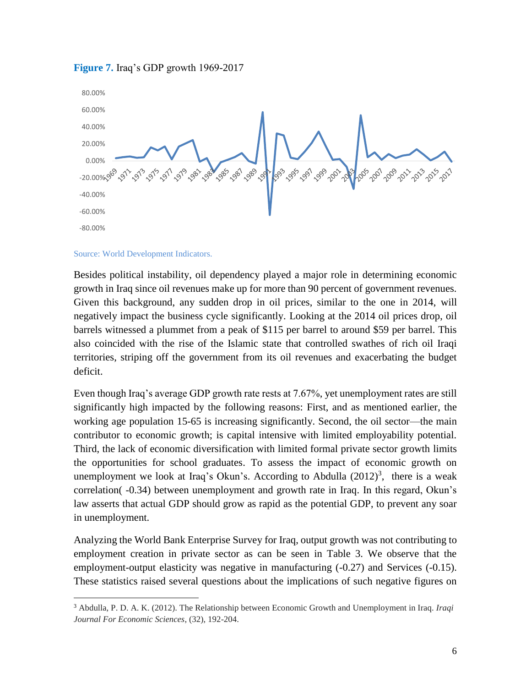

#### **Figure 7.** Iraq's GDP growth 1969-2017

Source: World Development Indicators.

 $\overline{a}$ 

Besides political instability, oil dependency played a major role in determining economic growth in Iraq since oil revenues make up for more than 90 percent of government revenues. Given this background, any sudden drop in oil prices, similar to the one in 2014, will negatively impact the business cycle significantly. Looking at the 2014 oil prices drop, oil barrels witnessed a plummet from a peak of \$115 per barrel to around \$59 per barrel. This also coincided with the rise of the Islamic state that controlled swathes of rich oil Iraqi territories, striping off the government from its oil revenues and exacerbating the budget deficit.

Even though Iraq's average GDP growth rate rests at 7.67%, yet unemployment rates are still significantly high impacted by the following reasons: First, and as mentioned earlier, the working age population 15-65 is increasing significantly. Second, the oil sector—the main contributor to economic growth; is capital intensive with limited employability potential. Third, the lack of economic diversification with limited formal private sector growth limits the opportunities for school graduates. To assess the impact of economic growth on unemployment we look at Iraq's Okun's. According to Abdulla  $(2012)^3$ , there is a weak correlation( -0.34) between unemployment and growth rate in Iraq. In this regard, Okun's law asserts that actual GDP should grow as rapid as the potential GDP, to prevent any soar in unemployment.

Analyzing the World Bank Enterprise Survey for Iraq, output growth was not contributing to employment creation in private sector as can be seen in Table 3. We observe that the employment-output elasticity was negative in manufacturing  $(-0.27)$  and Services  $(-0.15)$ . These statistics raised several questions about the implications of such negative figures on

<sup>3</sup> Abdulla, P. D. A. K. (2012). The Relationship between Economic Growth and Unemployment in Iraq. *Iraqi Journal For Economic Sciences*, (32), 192-204.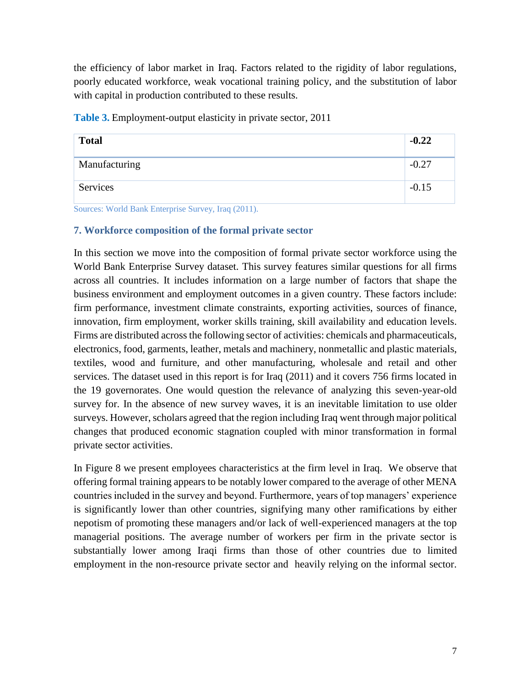the efficiency of labor market in Iraq. Factors related to the rigidity of labor regulations, poorly educated workforce, weak vocational training policy, and the substitution of labor with capital in production contributed to these results.

| <b>Total</b>  | $-0.22$ |
|---------------|---------|
| Manufacturing | $-0.27$ |
| Services      | $-0.15$ |

**Table 3.** Employment-output elasticity in private sector, 2011

Sources: World Bank Enterprise Survey, Iraq (2011).

#### <span id="page-8-0"></span>**7. Workforce composition of the formal private sector**

In this section we move into the composition of formal private sector workforce using the World Bank Enterprise Survey dataset. This survey features similar questions for all firms across all countries. It includes information on a large number of factors that shape the business environment and employment outcomes in a given country. These factors include: firm performance, investment climate constraints, exporting activities, sources of finance, innovation, firm employment, worker skills training, skill availability and education levels. Firms are distributed across the following sector of activities: chemicals and pharmaceuticals, electronics, food, garments, leather, metals and machinery, nonmetallic and plastic materials, textiles, wood and furniture, and other manufacturing, wholesale and retail and other services. The dataset used in this report is for Iraq (2011) and it covers 756 firms located in the 19 governorates. One would question the relevance of analyzing this seven-year-old survey for. In the absence of new survey waves, it is an inevitable limitation to use older surveys. However, scholars agreed that the region including Iraq went through major political changes that produced economic stagnation coupled with minor transformation in formal private sector activities.

In Figure 8 we present employees characteristics at the firm level in Iraq. We observe that offering formal training appears to be notably lower compared to the average of other MENA countries included in the survey and beyond. Furthermore, years of top managers' experience is significantly lower than other countries, signifying many other ramifications by either nepotism of promoting these managers and/or lack of well-experienced managers at the top managerial positions. The average number of workers per firm in the private sector is substantially lower among Iraqi firms than those of other countries due to limited employment in the non-resource private sector and heavily relying on the informal sector.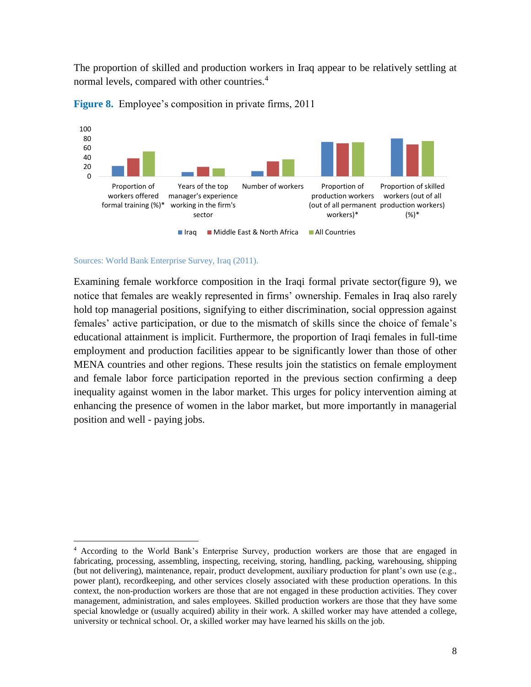The proportion of skilled and production workers in Iraq appear to be relatively settling at normal levels, compared with other countries.<sup>4</sup>





Sources: World Bank Enterprise Survey, Iraq (2011).

 $\overline{a}$ 

Examining female workforce composition in the Iraqi formal private sector(figure 9), we notice that females are weakly represented in firms' ownership. Females in Iraq also rarely hold top managerial positions, signifying to either discrimination, social oppression against females' active participation, or due to the mismatch of skills since the choice of female's educational attainment is implicit. Furthermore, the proportion of Iraqi females in full-time employment and production facilities appear to be significantly lower than those of other MENA countries and other regions. These results join the statistics on female employment and female labor force participation reported in the previous section confirming a deep inequality against women in the labor market. This urges for policy intervention aiming at enhancing the presence of women in the labor market, but more importantly in managerial position and well - paying jobs.

<sup>&</sup>lt;sup>4</sup> According to the World Bank's Enterprise Survey, production workers are those that are engaged in fabricating, processing, assembling, inspecting, receiving, storing, handling, packing, warehousing, shipping (but not delivering), maintenance, repair, product development, auxiliary production for plant's own use (e.g., power plant), recordkeeping, and other services closely associated with these production operations. In this context, the non-production workers are those that are not engaged in these production activities. They cover management, administration, and sales employees. Skilled production workers are those that they have some special knowledge or (usually acquired) ability in their work. A skilled worker may have attended a college, university or technical school. Or, a skilled worker may have learned his skills on the job.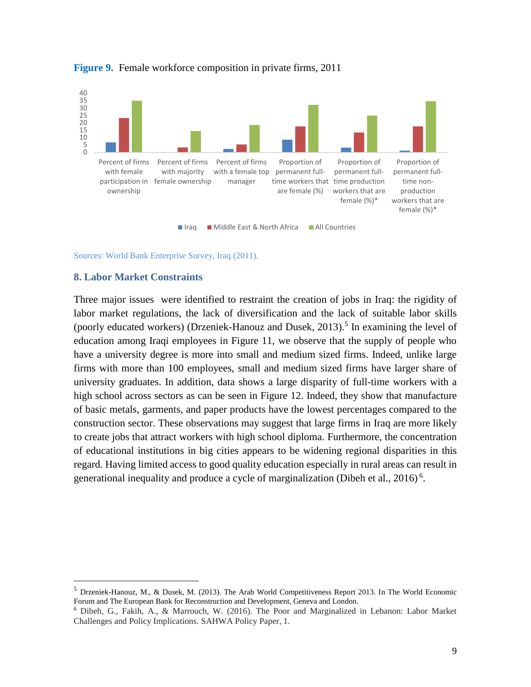

## **Figure 9.** Female workforce composition in private firms, 2011

Sources: World Bank Enterprise Survey, Iraq (2011).

#### <span id="page-10-0"></span>**8. Labor Market Constraints**

 $\ddot{\phantom{a}}$ 

Three major issues were identified to restraint the creation of jobs in Iraq: the rigidity of labor market regulations, the lack of diversification and the lack of suitable labor skills (poorly educated workers) (Drzeniek-Hanouz and Dusek,  $2013$ ).<sup>5</sup> In examining the level of education among Iraqi employees in Figure 11, we observe that the supply of people who have a university degree is more into small and medium sized firms. Indeed, unlike large firms with more than 100 employees, small and medium sized firms have larger share of university graduates. In addition, data shows a large disparity of full-time workers with a high school across sectors as can be seen in Figure 12. Indeed, they show that manufacture of basic metals, garments, and paper products have the lowest percentages compared to the construction sector. These observations may suggest that large firms in Iraq are more likely to create jobs that attract workers with high school diploma. Furthermore, the concentration of educational institutions in big cities appears to be widening regional disparities in this regard. Having limited access to good quality education especially in rural areas can result in generational inequality and produce a cycle of marginalization (Dibeh et al.,  $2016$ )<sup>6</sup>.

<sup>5</sup> Drzeniek-Hanouz, M., & Dusek, M. (2013). The Arab World Competitiveness Report 2013. In The World Economic Forum and The European Bank for Reconstruction and Development, Geneva and London.

<sup>6</sup> Dibeh, G., Fakih, A., & Marrouch, W. (2016). The Poor and Marginalized in Lebanon: Labor Market Challenges and Policy Implications. SAHWA Policy Paper, 1.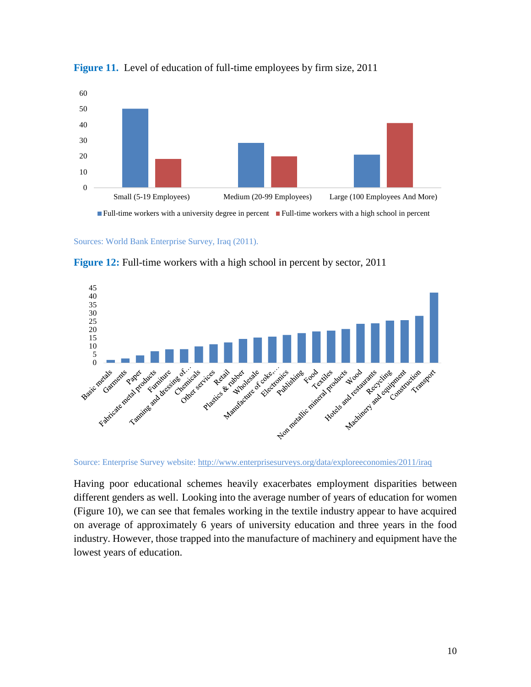



Sources: World Bank Enterprise Survey, Iraq (2011).



**Figure 12:** Full-time workers with a high school in percent by sector, 2011

Source: Enterprise Survey website:<http://www.enterprisesurveys.org/data/exploreeconomies/2011/iraq>

Having poor educational schemes heavily exacerbates employment disparities between different genders as well. Looking into the average number of years of education for women (Figure 10), we can see that females working in the textile industry appear to have acquired on average of approximately 6 years of university education and three years in the food industry. However, those trapped into the manufacture of machinery and equipment have the lowest years of education.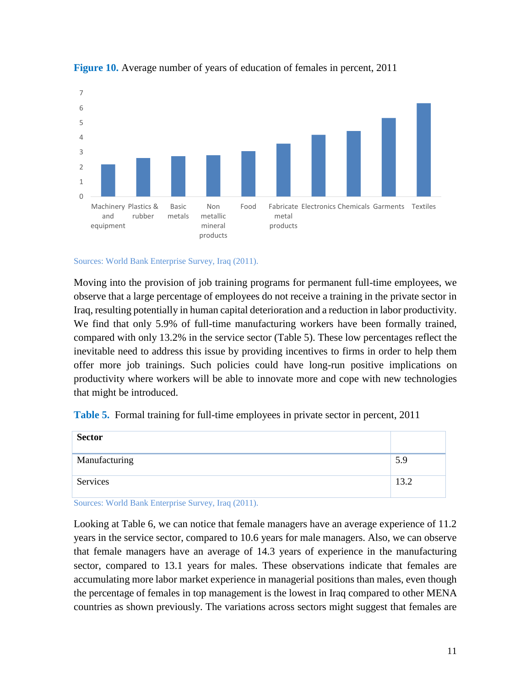



Sources: World Bank Enterprise Survey, Iraq (2011).

Moving into the provision of job training programs for permanent full-time employees, we observe that a large percentage of employees do not receive a training in the private sector in Iraq, resulting potentially in human capital deterioration and a reduction in labor productivity. We find that only 5.9% of full-time manufacturing workers have been formally trained, compared with only 13.2% in the service sector (Table 5). These low percentages reflect the inevitable need to address this issue by providing incentives to firms in order to help them offer more job trainings. Such policies could have long-run positive implications on productivity where workers will be able to innovate more and cope with new technologies that might be introduced.

**Table 5.** Formal training for full-time employees in private sector in percent, 2011

| <b>Sector</b> |      |
|---------------|------|
| Manufacturing | 5.9  |
| Services      | 13.2 |

Sources: World Bank Enterprise Survey, Iraq (2011).

Looking at Table 6, we can notice that female managers have an average experience of 11.2 years in the service sector, compared to 10.6 years for male managers. Also, we can observe that female managers have an average of 14.3 years of experience in the manufacturing sector, compared to 13.1 years for males. These observations indicate that females are accumulating more labor market experience in managerial positions than males, even though the percentage of females in top management is the lowest in Iraq compared to other MENA countries as shown previously. The variations across sectors might suggest that females are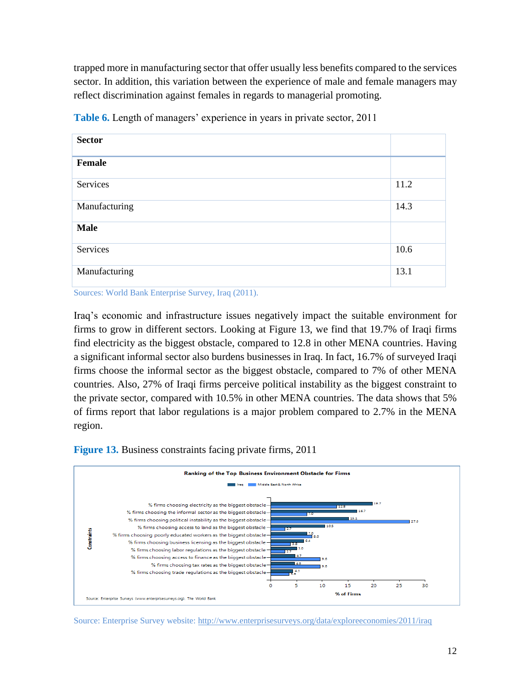trapped more in manufacturing sector that offer usually less benefits compared to the services sector. In addition, this variation between the experience of male and female managers may reflect discrimination against females in regards to managerial promoting.

| <b>Sector</b> |      |
|---------------|------|
| Female        |      |
| Services      | 11.2 |
| Manufacturing | 14.3 |
| <b>Male</b>   |      |
| Services      | 10.6 |
| Manufacturing | 13.1 |

**Table 6.** Length of managers' experience in years in private sector, 2011

Sources: World Bank Enterprise Survey, Iraq (2011).

Iraq's economic and infrastructure issues negatively impact the suitable environment for firms to grow in different sectors. Looking at Figure 13, we find that 19.7% of Iraqi firms find electricity as the biggest obstacle, compared to 12.8 in other MENA countries. Having a significant informal sector also burdens businesses in Iraq. In fact, 16.7% of surveyed Iraqi firms choose the informal sector as the biggest obstacle, compared to 7% of other MENA countries. Also, 27% of Iraqi firms perceive political instability as the biggest constraint to the private sector, compared with 10.5% in other MENA countries. The data shows that 5% of firms report that labor regulations is a major problem compared to 2.7% in the MENA region.

**Figure 13.** Business constraints facing private firms, 2011



Source: Enterprise Survey website:<http://www.enterprisesurveys.org/data/exploreeconomies/2011/iraq>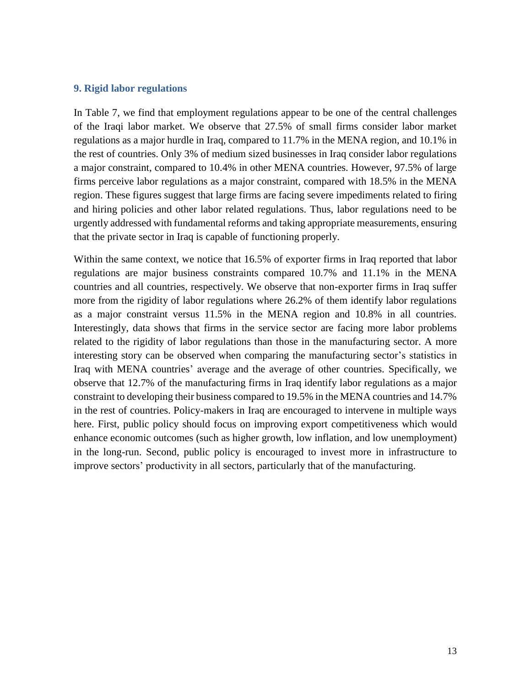#### <span id="page-14-0"></span>**9. Rigid labor regulations**

In Table 7, we find that employment regulations appear to be one of the central challenges of the Iraqi labor market. We observe that 27.5% of small firms consider labor market regulations as a major hurdle in Iraq, compared to 11.7% in the MENA region, and 10.1% in the rest of countries. Only 3% of medium sized businesses in Iraq consider labor regulations a major constraint, compared to 10.4% in other MENA countries. However, 97.5% of large firms perceive labor regulations as a major constraint, compared with 18.5% in the MENA region. These figures suggest that large firms are facing severe impediments related to firing and hiring policies and other labor related regulations. Thus, labor regulations need to be urgently addressed with fundamental reforms and taking appropriate measurements, ensuring that the private sector in Iraq is capable of functioning properly.

Within the same context, we notice that 16.5% of exporter firms in Iraq reported that labor regulations are major business constraints compared 10.7% and 11.1% in the MENA countries and all countries, respectively. We observe that non-exporter firms in Iraq suffer more from the rigidity of labor regulations where 26.2% of them identify labor regulations as a major constraint versus 11.5% in the MENA region and 10.8% in all countries. Interestingly, data shows that firms in the service sector are facing more labor problems related to the rigidity of labor regulations than those in the manufacturing sector. A more interesting story can be observed when comparing the manufacturing sector's statistics in Iraq with MENA countries' average and the average of other countries. Specifically, we observe that 12.7% of the manufacturing firms in Iraq identify labor regulations as a major constraint to developing their business compared to 19.5% in the MENA countries and 14.7% in the rest of countries. Policy-makers in Iraq are encouraged to intervene in multiple ways here. First, public policy should focus on improving export competitiveness which would enhance economic outcomes (such as higher growth, low inflation, and low unemployment) in the long-run. Second, public policy is encouraged to invest more in infrastructure to improve sectors' productivity in all sectors, particularly that of the manufacturing.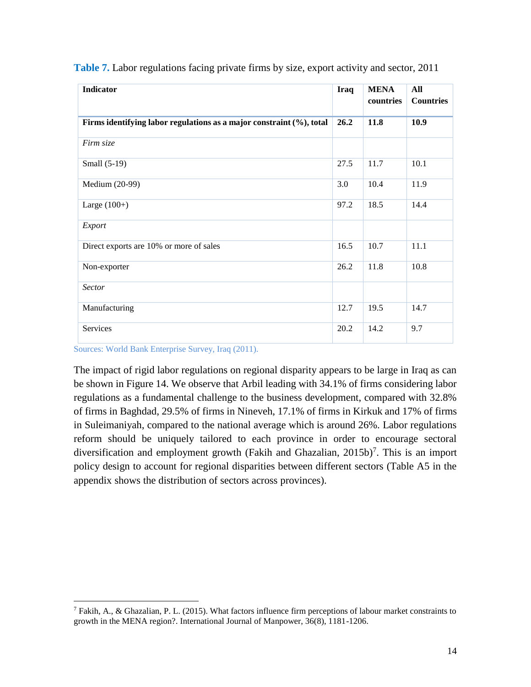| Indicator                                                            | Iraq | <b>MENA</b><br>countries | All<br><b>Countries</b> |
|----------------------------------------------------------------------|------|--------------------------|-------------------------|
| Firms identifying labor regulations as a major constraint (%), total | 26.2 | 11.8                     | 10.9                    |
| Firm size                                                            |      |                          |                         |
| Small (5-19)                                                         | 27.5 | 11.7                     | 10.1                    |
| Medium (20-99)                                                       | 3.0  | 10.4                     | 11.9                    |
| Large $(100+)$                                                       | 97.2 | 18.5                     | 14.4                    |
| Export                                                               |      |                          |                         |
| Direct exports are 10% or more of sales                              | 16.5 | 10.7                     | 11.1                    |
| Non-exporter                                                         | 26.2 | 11.8                     | 10.8                    |
| <b>Sector</b>                                                        |      |                          |                         |
| Manufacturing                                                        | 12.7 | 19.5                     | 14.7                    |
| Services                                                             | 20.2 | 14.2                     | 9.7                     |

**Table 7.** Labor regulations facing private firms by size, export activity and sector, 2011

Sources: World Bank Enterprise Survey, Iraq (2011).

 $\overline{a}$ 

The impact of rigid labor regulations on regional disparity appears to be large in Iraq as can be shown in Figure 14. We observe that Arbil leading with 34.1% of firms considering labor regulations as a fundamental challenge to the business development, compared with 32.8% of firms in Baghdad, 29.5% of firms in Nineveh, 17.1% of firms in Kirkuk and 17% of firms in Suleimaniyah, compared to the national average which is around 26%. Labor regulations reform should be uniquely tailored to each province in order to encourage sectoral diversification and employment growth (Fakih and Ghazalian,  $2015b$ )<sup>7</sup>. This is an import policy design to account for regional disparities between different sectors (Table A5 in the appendix shows the distribution of sectors across provinces).

<sup>7</sup> Fakih, A., & Ghazalian, P. L. (2015). What factors influence firm perceptions of labour market constraints to growth in the MENA region?. International Journal of Manpower, 36(8), 1181-1206.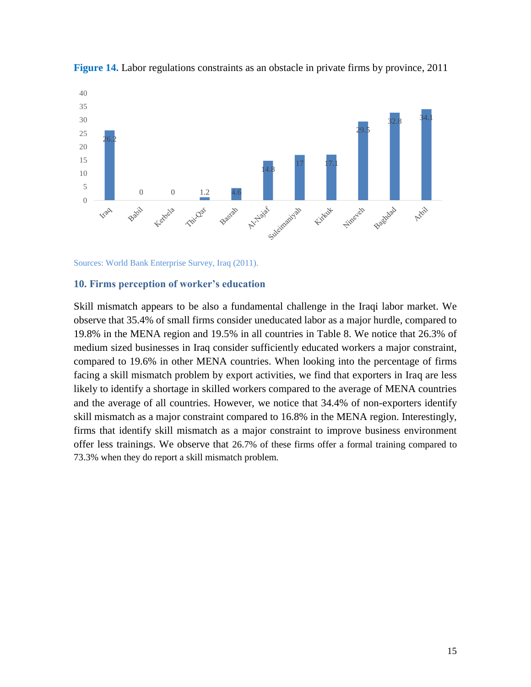

**Figure 14.** Labor regulations constraints as an obstacle in private firms by province, 2011

Sources: World Bank Enterprise Survey, Iraq (2011).

#### <span id="page-16-0"></span>**10. Firms perception of worker's education**

Skill mismatch appears to be also a fundamental challenge in the Iraqi labor market. We observe that 35.4% of small firms consider uneducated labor as a major hurdle, compared to 19.8% in the MENA region and 19.5% in all countries in Table 8. We notice that 26.3% of medium sized businesses in Iraq consider sufficiently educated workers a major constraint, compared to 19.6% in other MENA countries. When looking into the percentage of firms facing a skill mismatch problem by export activities, we find that exporters in Iraq are less likely to identify a shortage in skilled workers compared to the average of MENA countries and the average of all countries. However, we notice that 34.4% of non-exporters identify skill mismatch as a major constraint compared to 16.8% in the MENA region. Interestingly, firms that identify skill mismatch as a major constraint to improve business environment offer less trainings. We observe that 26.7% of these firms offer a formal training compared to 73.3% when they do report a skill mismatch problem.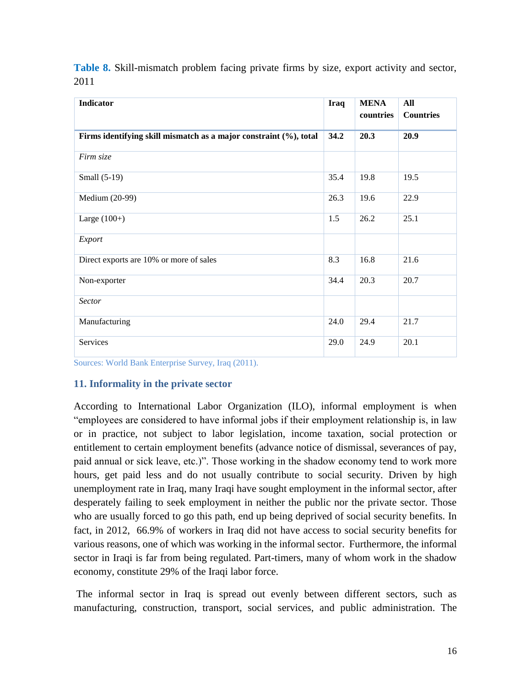| Indicator                                                         | Iraq | <b>MENA</b><br>countries | All<br><b>Countries</b> |
|-------------------------------------------------------------------|------|--------------------------|-------------------------|
| Firms identifying skill mismatch as a major constraint (%), total | 34.2 | 20.3                     | 20.9                    |
| Firm size                                                         |      |                          |                         |
| Small (5-19)                                                      | 35.4 | 19.8                     | 19.5                    |
| Medium (20-99)                                                    | 26.3 | 19.6                     | 22.9                    |
| Large $(100+)$                                                    | 1.5  | 26.2                     | 25.1                    |
| Export                                                            |      |                          |                         |
| Direct exports are 10% or more of sales                           | 8.3  | 16.8                     | 21.6                    |
| Non-exporter                                                      | 34.4 | 20.3                     | 20.7                    |
| Sector                                                            |      |                          |                         |
| Manufacturing                                                     | 24.0 | 29.4                     | 21.7                    |
| Services                                                          | 29.0 | 24.9                     | 20.1                    |

**Table 8.** Skill-mismatch problem facing private firms by size, export activity and sector, 2011

Sources: World Bank Enterprise Survey, Iraq (2011).

## <span id="page-17-0"></span>**11. Informality in the private sector**

According to International Labor Organization (ILO), informal employment is when "employees are considered to have informal jobs if their employment relationship is, in law or in practice, not subject to labor legislation, income taxation, social protection or entitlement to certain employment benefits (advance notice of dismissal, severances of pay, paid annual or sick leave, etc.)". Those working in the shadow economy tend to work more hours, get paid less and do not usually contribute to social security. Driven by high unemployment rate in Iraq, many Iraqi have sought employment in the informal sector, after desperately failing to seek employment in neither the public nor the private sector. Those who are usually forced to go this path, end up being deprived of social security benefits. In fact, in 2012, 66.9% of workers in Iraq did not have access to social security benefits for various reasons, one of which was working in the informal sector. Furthermore, the informal sector in Iraqi is far from being regulated. Part-timers, many of whom work in the shadow economy, constitute 29% of the Iraqi labor force.

The informal sector in Iraq is spread out evenly between different sectors, such as manufacturing, construction, transport, social services, and public administration. The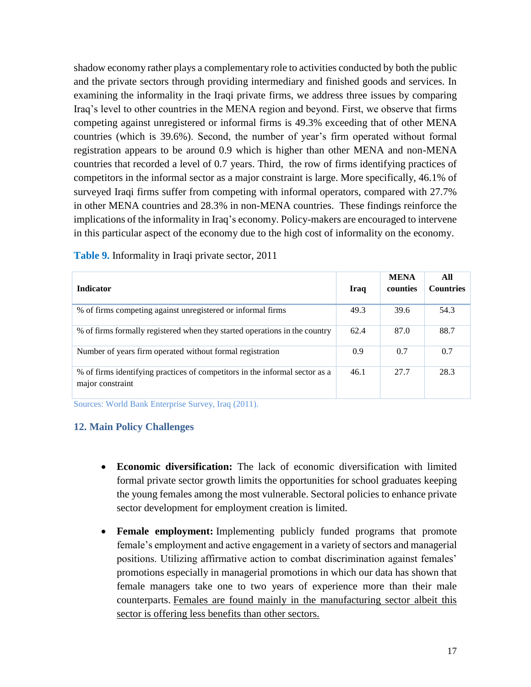shadow economy rather plays a complementary role to activities conducted by both the public and the private sectors through providing intermediary and finished goods and services. In examining the informality in the Iraqi private firms, we address three issues by comparing Iraq's level to other countries in the MENA region and beyond. First, we observe that firms competing against unregistered or informal firms is 49.3% exceeding that of other MENA countries (which is 39.6%). Second, the number of year's firm operated without formal registration appears to be around 0.9 which is higher than other MENA and non-MENA countries that recorded a level of 0.7 years. Third, the row of firms identifying practices of competitors in the informal sector as a major constraint is large. More specifically, 46.1% of surveyed Iraqi firms suffer from competing with informal operators, compared with 27.7% in other MENA countries and 28.3% in non-MENA countries. These findings reinforce the implications of the informality in Iraq's economy. Policy-makers are encouraged to intervene in this particular aspect of the economy due to the high cost of informality on the economy.

| <b>Indicator</b>                                                                                | Iraq | <b>MENA</b><br>counties | All<br><b>Countries</b> |
|-------------------------------------------------------------------------------------------------|------|-------------------------|-------------------------|
| % of firms competing against unregistered or informal firms                                     | 49.3 | 39.6                    | 54.3                    |
| % of firms formally registered when they started operations in the country                      | 62.4 | 87.0                    | 88.7                    |
| Number of years firm operated without formal registration                                       | 0.9  | 0.7                     | 0.7                     |
| % of firms identifying practices of competitors in the informal sector as a<br>major constraint | 46.1 | 27.7                    | 28.3                    |

**Table 9.** Informality in Iraqi private sector, 2011

Sources: World Bank Enterprise Survey, Iraq (2011).

## <span id="page-18-0"></span>**12. Main Policy Challenges**

- **Economic diversification:** The lack of economic diversification with limited formal private sector growth limits the opportunities for school graduates keeping the young females among the most vulnerable. Sectoral policies to enhance private sector development for employment creation is limited.
- **Female employment:** Implementing publicly funded programs that promote female's employment and active engagement in a variety of sectors and managerial positions. Utilizing affirmative action to combat discrimination against females' promotions especially in managerial promotions in which our data has shown that female managers take one to two years of experience more than their male counterparts. Females are found mainly in the manufacturing sector albeit this sector is offering less benefits than other sectors.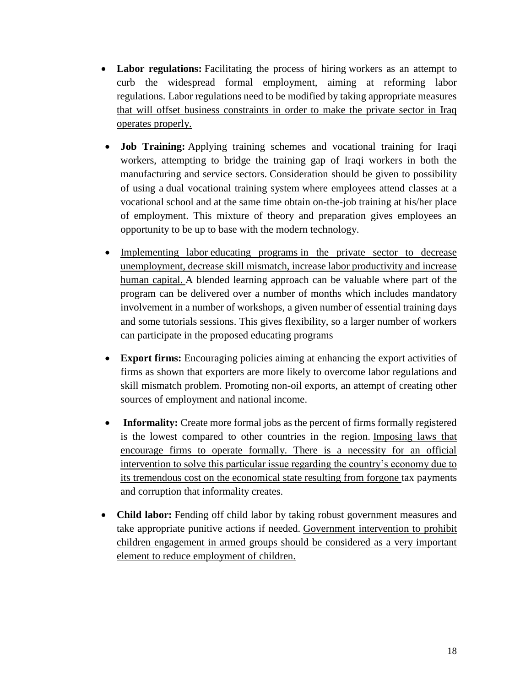- **Labor regulations:** Facilitating the process of hiring workers as an attempt to curb the widespread formal employment, aiming at reforming labor regulations. Labor regulations need to be modified by taking appropriate measures that will offset business constraints in order to make the private sector in Iraq operates properly.
- **Job Training:** Applying training schemes and vocational training for Iraqi workers, attempting to bridge the training gap of Iraqi workers in both the manufacturing and service sectors. Consideration should be given to possibility of using a [dual vocational training system](https://www.make-it-in-germany.com/en/for-qualified-professionals/about-the-portal/glossary?tx_rsmiig_glossary%5Baction%5D=show&tx_rsmiig_glossary%5Bterm%5D=4&cHash=036ff1ae0f266febd4b34e27ae7dde90) where employees attend classes at a vocational school and at the same time obtain on-the-job training at his/her place of employment. This mixture of theory and preparation gives employees an opportunity to be up to base with the modern technology.
- Implementing labor educating programs in the private sector to decrease unemployment, decrease skill mismatch, increase labor productivity and increase human capital. A blended learning approach can be valuable where part of the program can be delivered over a number of months which includes mandatory involvement in a number of workshops, a given number of essential training days and some tutorials sessions. This gives flexibility, so a larger number of workers can participate in the proposed educating programs
- **Export firms:** Encouraging policies aiming at enhancing the export activities of firms as shown that exporters are more likely to overcome labor regulations and skill mismatch problem. Promoting non-oil exports, an attempt of creating other sources of employment and national income.
- **Informality:** Create more formal jobs as the percent of firms formally registered is the lowest compared to other countries in the region. Imposing laws that encourage firms to operate formally. There is a necessity for an official intervention to solve this particular issue regarding the country's economy due to its tremendous cost on the economical state resulting from forgone tax payments and corruption that informality creates.
- **Child labor:** Fending off child labor by taking robust government measures and take appropriate punitive actions if needed. Government intervention to prohibit children engagement in armed groups should be considered as a very important element to reduce employment of children.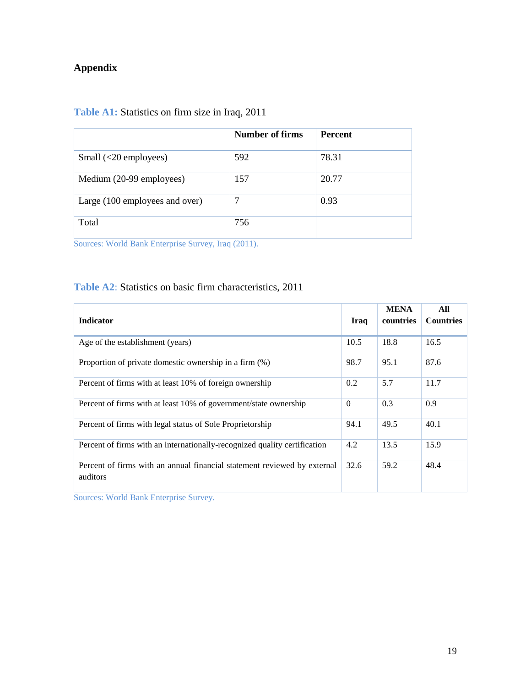## **Appendix**

| <b>Table A1:</b> Statistics on firm size in Iraq, 2011 |  |
|--------------------------------------------------------|--|
|--------------------------------------------------------|--|

|                                | <b>Number of firms</b> | <b>Percent</b> |
|--------------------------------|------------------------|----------------|
| Small $(\leq 20$ employees)    | 592                    | 78.31          |
| Medium (20-99 employees)       | 157                    | 20.77          |
| Large (100 employees and over) | 7                      | 0.93           |
| Total                          | 756                    |                |

Sources: World Bank Enterprise Survey, Iraq (2011).

## **Table A2**: Statistics on basic firm characteristics, 2011

| <b>Indicator</b>                                                                     | Iraq     | <b>MENA</b><br>countries | All<br><b>Countries</b> |
|--------------------------------------------------------------------------------------|----------|--------------------------|-------------------------|
| Age of the establishment (years)                                                     | 10.5     | 18.8                     | 16.5                    |
| Proportion of private domestic ownership in a firm (%)                               | 98.7     | 95.1                     | 87.6                    |
| Percent of firms with at least 10% of foreign ownership                              | 0.2      | 5.7                      | 11.7                    |
| Percent of firms with at least 10% of government/state ownership                     | $\Omega$ | 0.3                      | 0.9                     |
| Percent of firms with legal status of Sole Proprietorship                            | 94.1     | 49.5                     | 40.1                    |
| Percent of firms with an internationally-recognized quality certification            | 4.2      | 13.5                     | 15.9                    |
| Percent of firms with an annual financial statement reviewed by external<br>auditors | 32.6     | 59.2                     | 48.4                    |

Sources: World Bank Enterprise Survey.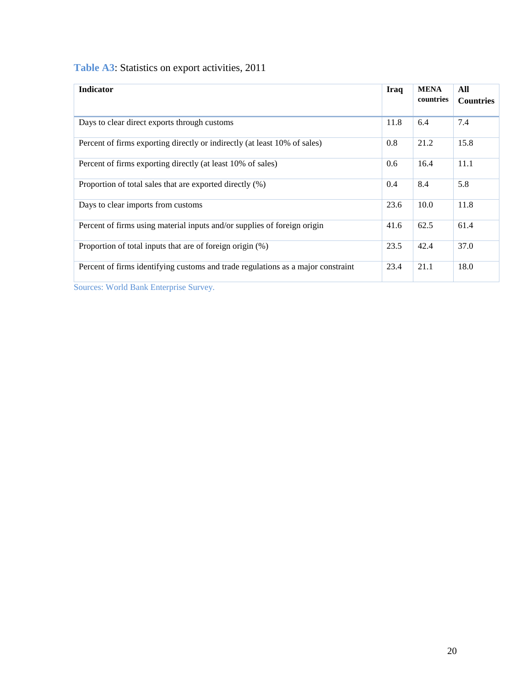| Table A3: Statistics on export activities, 2011 |  |  |  |  |  |
|-------------------------------------------------|--|--|--|--|--|
|-------------------------------------------------|--|--|--|--|--|

| <b>Indicator</b>                                                                 | Iraq | <b>MENA</b><br>countries | All<br><b>Countries</b> |
|----------------------------------------------------------------------------------|------|--------------------------|-------------------------|
| Days to clear direct exports through customs                                     | 11.8 | 6.4                      | 7.4                     |
| Percent of firms exporting directly or indirectly (at least 10% of sales)        | 0.8  | 21.2                     | 15.8                    |
| Percent of firms exporting directly (at least 10% of sales)                      | 0.6  | 16.4                     | 11.1                    |
| Proportion of total sales that are exported directly (%)                         | 0.4  | 8.4                      | 5.8                     |
| Days to clear imports from customs                                               | 23.6 | 10.0                     | 11.8                    |
| Percent of firms using material inputs and/or supplies of foreign origin         | 41.6 | 62.5                     | 61.4                    |
| Proportion of total inputs that are of foreign origin (%)                        | 23.5 | 42.4                     | 37.0                    |
| Percent of firms identifying customs and trade regulations as a major constraint | 23.4 | 21.1                     | 18.0                    |

Sources: World Bank Enterprise Survey.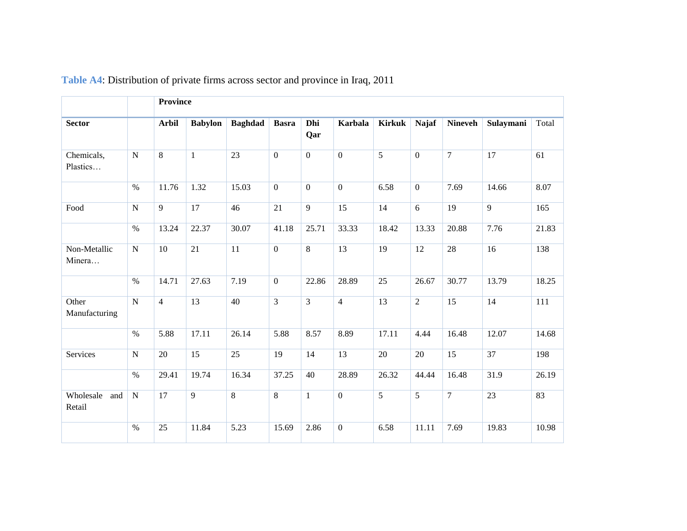|                            |                | <b>Province</b> |                |                |                 |                |                 |                |                |                |                 |       |
|----------------------------|----------------|-----------------|----------------|----------------|-----------------|----------------|-----------------|----------------|----------------|----------------|-----------------|-------|
| <b>Sector</b>              |                | <b>Arbil</b>    | <b>Babylon</b> | <b>Baghdad</b> | <b>Basra</b>    | Dhi<br>Qar     | <b>Karbala</b>  | <b>Kirkuk</b>  | <b>Najaf</b>   | <b>Nineveh</b> | Sulaymani       | Total |
| Chemicals,<br>Plastics     | ${\bf N}$      | 8               | $\mathbf{1}$   | 23             | $\mathbf{0}$    | $\mathbf{0}$   | $\mathbf{0}$    | 5              | $\overline{0}$ | $\overline{7}$ | $\overline{17}$ | 61    |
|                            | $\%$           | 11.76           | 1.32           | 15.03          | $\mathbf{0}$    | $\mathbf{0}$   | $\mathbf{0}$    | 6.58           | $\overline{0}$ | 7.69           | 14.66           | 8.07  |
| Food                       | ${\bf N}$      | $\overline{9}$  | 17             | 46             | $\overline{21}$ | $\overline{9}$ | $\overline{15}$ | 14             | $\overline{6}$ | 19             | $\overline{9}$  | 165   |
|                            | $\%$           | 13.24           | 22.37          | 30.07          | 41.18           | 25.71          | 33.33           | 18.42          | 13.33          | 20.88          | 7.76            | 21.83 |
| Non-Metallic<br>Minera     | ${\bf N}$      | 10              | 21             | 11             | $\mathbf{0}$    | 8              | 13              | 19             | 12             | 28             | 16              | 138   |
|                            | $\%$           | 14.71           | 27.63          | 7.19           | $\mathbf{0}$    | 22.86          | 28.89           | 25             | 26.67          | 30.77          | 13.79           | 18.25 |
| Other<br>Manufacturing     | $\overline{N}$ | $\overline{4}$  | 13             | 40             | $\overline{3}$  | 3              | $\overline{4}$  | 13             | $\overline{2}$ | 15             | 14              | 111   |
|                            | $\%$           | 5.88            | 17.11          | 26.14          | 5.88            | 8.57           | 8.89            | 17.11          | 4.44           | 16.48          | 12.07           | 14.68 |
| Services                   | $\mathbf N$    | 20              | 15             | 25             | 19              | 14             | 13              | $20\,$         | 20             | 15             | 37              | 198   |
|                            | $\%$           | 29.41           | 19.74          | 16.34          | 37.25           | 40             | 28.89           | 26.32          | 44.44          | 16.48          | 31.9            | 26.19 |
| Wholesale<br>and<br>Retail | ${\bf N}$      | 17              | 9              | 8              | $\overline{8}$  | $\mathbf{1}$   | $\overline{0}$  | $\overline{5}$ | $\overline{5}$ | $\overline{7}$ | $\overline{23}$ | 83    |
|                            | $\%$           | 25              | 11.84          | 5.23           | 15.69           | 2.86           | $\mathbf{0}$    | 6.58           | 11.11          | 7.69           | 19.83           | 10.98 |

**Table A4**: Distribution of private firms across sector and province in Iraq, 2011